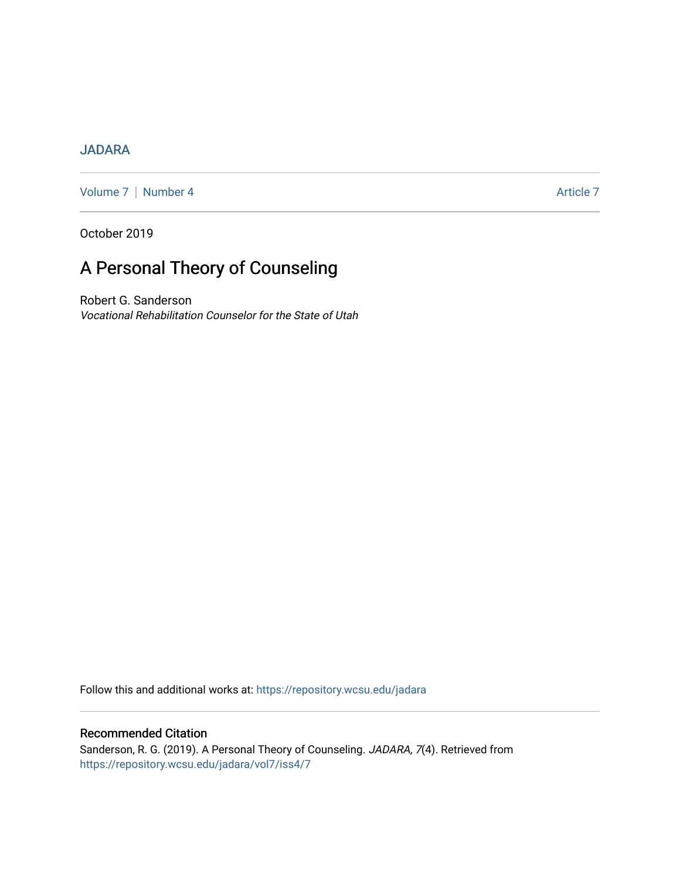## [JADARA](https://repository.wcsu.edu/jadara)

[Volume 7](https://repository.wcsu.edu/jadara/vol7) | [Number 4](https://repository.wcsu.edu/jadara/vol7/iss4) Article 7

October 2019

# A Personal Theory of Counseling

Robert G. Sanderson Vocational Rehabilitation Counselor for the State of Utah

Follow this and additional works at: [https://repository.wcsu.edu/jadara](https://repository.wcsu.edu/jadara?utm_source=repository.wcsu.edu%2Fjadara%2Fvol7%2Fiss4%2F7&utm_medium=PDF&utm_campaign=PDFCoverPages)

## Recommended Citation

Sanderson, R. G. (2019). A Personal Theory of Counseling. JADARA, 7(4). Retrieved from [https://repository.wcsu.edu/jadara/vol7/iss4/7](https://repository.wcsu.edu/jadara/vol7/iss4/7?utm_source=repository.wcsu.edu%2Fjadara%2Fvol7%2Fiss4%2F7&utm_medium=PDF&utm_campaign=PDFCoverPages)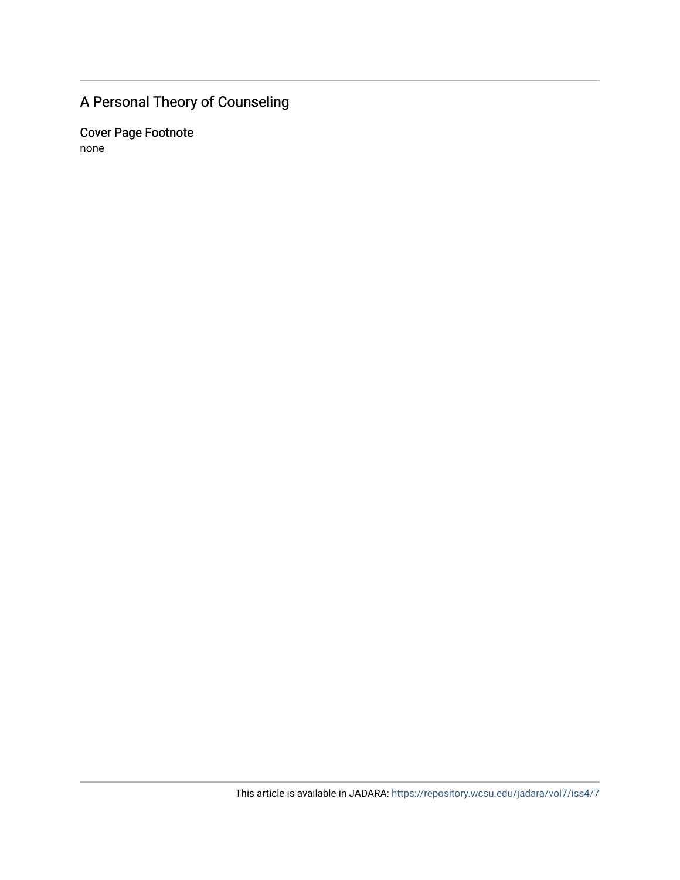# A Personal Theory of Counseling

Cover Page Footnote none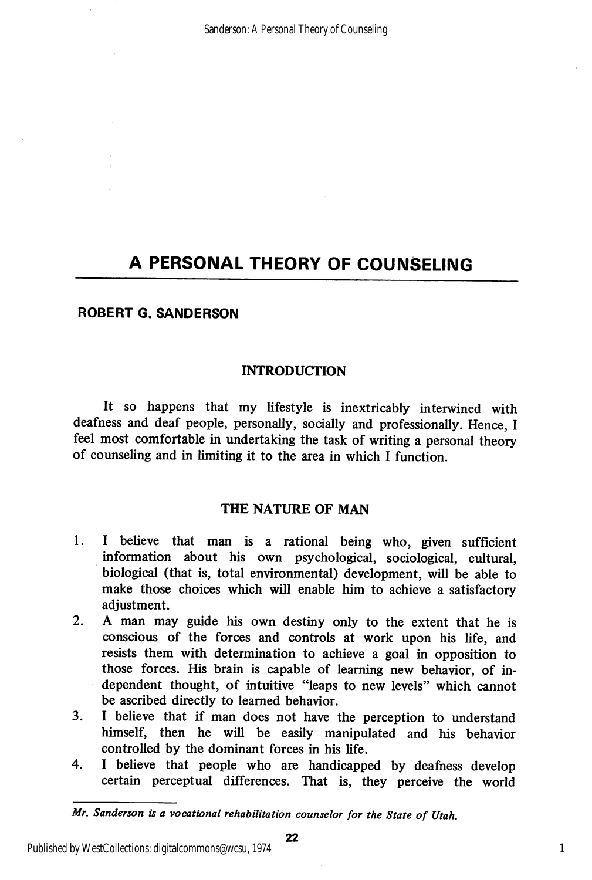### ROBERT G. SANDERSON

#### **INTRODUCTION**

It so happens that my lifestyle is inextricably interwined with deafness and deaf people, personally, socially and professionally. Hence, I feel most comfortable in undertaking the task of writing a personal theory of counseling and in limiting it to the area in which I function.

### THE NATURE OF MAN

- 1. I believe that man is a rational being who, given sufficient information about his own psychological, sociological, cultural, biological (that is, total environmental) development, will be able to make those choices which will enable him to achieve a satisfactory adjustment.
- 2. A man may guide his own destiny only to the extent that he is conscious of the forces and controls at work upon his life, and resists them with determination to achieve a goal in opposition to those forces. His brain is capable of learning new behavior, of in dependent thought, of intuitive "leaps to new levels" which cannot be ascribed directly to learned behavior.
- 3. I believe that if man does not have the perception to understand himself, then he will be easily manipulated and his behavior controlled by the dominant forces in his life.
- 4. I believe that people who are handicapped by deafness develop certain perceptual differences. That is, they perceive the world

Mr. Sanderson is a vocational rehabilitation counselor for the State of Utah.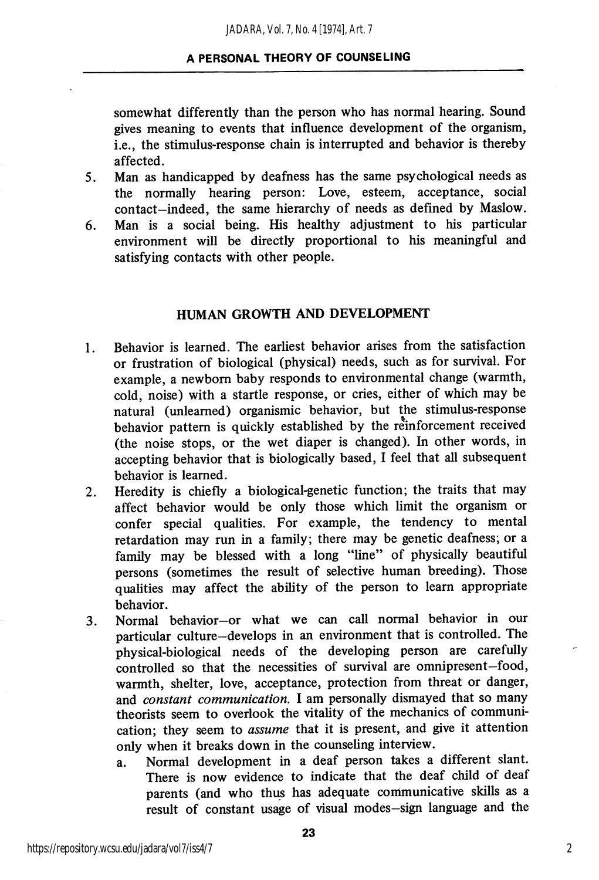somewhat differently than the person who has normal hearing. Sound gives meaning to events that influence development of the organism, i.e., the stimulus-response chain is interrupted and behavior is thereby affected.

- 5. Man as handicapped by deafness has the same psychological needs as the normally hearing person: Love, esteem, acceptance, social contact—indeed, the same hierarchy of needs as defined by Maslow.
- 6. Man is a social being. His healthy adjustment to his particular environment will be directly proportional to his meaningful and satisfying contacts with other people.

#### HUMAN GROWTH AND DEVELOPMENT

- 1. Behavior is learned. The earliest behavior arises from the satisfaction or frustration of biological (physical) needs, such as for survival. For example, a newborn baby responds to environmental change (warmth, cold, noise) with a startle response, or cries, either of which may be natural (unlearned) organismic behavior, but the stimulus-response behavior pattern is quickly established by the reinforcement received (the noise stops, or the wet diaper is changed). In other words, in accepting behavior that is biologically based. I feel that all subsequent behavior is learned.
- 2. Heredity is chiefly a biological-genetic function; the traits that may affect behavior would be only those which limit the organism or confer special qualities. For example, the tendency to mental retardation may run in a family; there may be genetic deafness; or a family may be blessed with a long "line" of physically beautiful persons (sometimes the result of selective human breeding). Those qualities may affect the ability of the person to learn appropriate behavior.
- 3. Normal behavior—or what we can call normal behavior in our particular culture—develops in an environment that is controlled. The physical-biological needs of the developing person are carefully controlled so that the necessities of survival are omnipresent—food, warmth, shelter, love, acceptance, protection from threat or danger, and *constant communication*. I am personally dismayed that so many theorists seem to overlook the vitality of the mechanics of communi cation; they seem to assume that it is present, and give it attention only when it breaks down in the counseling interview.
	- a. Normal development in a deaf person takes a different slant. There is now evidence to indicate that the deaf child of deaf parents (and who thus has adequate communicative skills as a result of constant usage of visual modes-sign language and the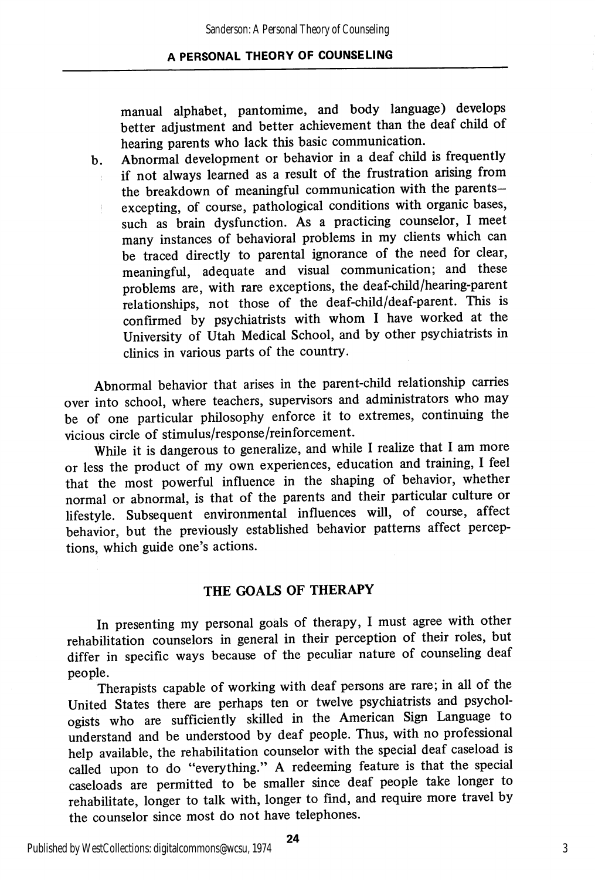manual alphabet, pantomime, and body language) develops better adjustment and better achievement than the deaf child of hearing parents who lack this basic communication.

b. Abnormal development or behavior in a deaf child is frequently if not always learned as a result of the frustration arising from the breakdown of meaningful communication with the parentsexcepting, of course, pathological conditions with organic bases, such as brain dysfunction. As a practicing counselor, I meet many instances of behavioral problems in my clients which can be traced directly to parental ignorance of the need for clear, meaningful, adequate and visual communication; and these problems are, with rare exceptions, the deaf-child/hearing-parent relationships, not those of the deaf-child/deaf-parent. This is confirmed by psychiatrists with whom I have worked at the University of Utah Medical School, and by other psychiatrists in clinics in various parts of the country.

Abnormal behavior that arises in the parent-child relationship carries over into school, where teachers, supervisors and administrators who may be of one particular philosophy enforce it to extremes, continuing the vicious circle of stimulus/response/reinforcement.

While it is dangerous to generalize, and while I realize that I am more or less the product of my own experiences, education and training, I feel that the most powerful influence in the shaping of behavior, whether normal or abnormal, is that of the parents and their particular culture or lifestyle. Subsequent environmental influences will, of course, affect behavior, but the previously established behavior patterns affect percep tions, which guide one's actions.

### THE GOALS OF THERAPY

In presenting my personal goals of therapy, I must agree with other rehabilitation counselors in general in their perception of their roles, but differ in specific ways because of the peculiar nature of counseling deaf people.

Therapists capable of working with deaf persons are rare; in all of the United States there are perhaps ten or twelve psychiatrists and psychol ogists who are sufficiently skilled in the American Sign Language to understand and be understood by deaf people. Thus, with no professional help available, the rehabilitation counselor with the special deaf caseload is called upon to do "everything." A redeeming feature is that the special caseloads are permitted to be smaller since deaf people take longer to rehabilitate, longer to talk with, longer to find, and require more travel by the counselor since most do not have telephones.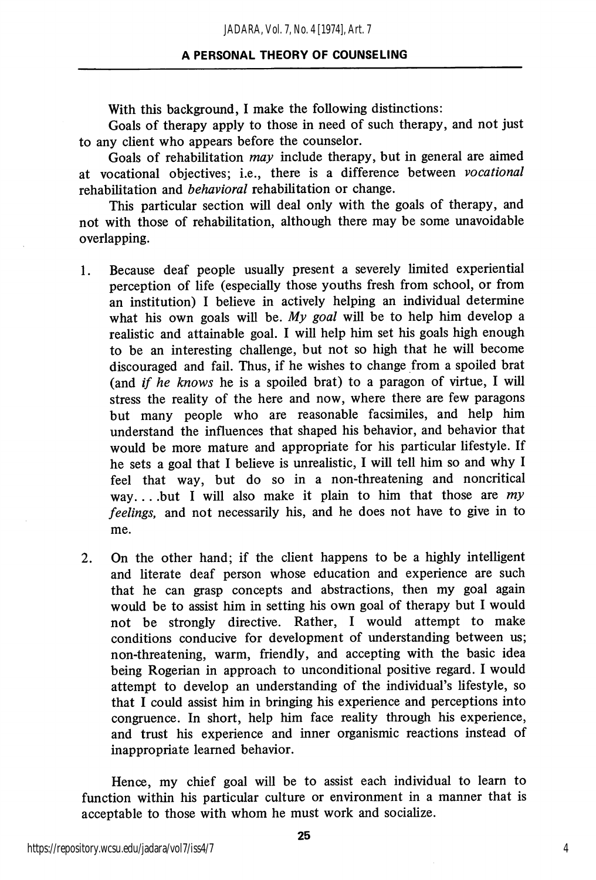With this background, I make the following distinctions:

Goals of therapy apply to those in need of such therapy, and not just to any client who appears before the counselor.

Goals of rehabilitation may include therapy, but in general are aimed at vocational objectives; i.e., there is a difference between vocational rehabilitation and behavioral rehabilitation or change.

This particular section will deal only with the goals of therapy, and not with those of rehabilitation, although there may be some unavoidable overlapping.

- 1. Because deaf people usually present a severely limited experiential perception of life (especially those youths fresh from school, or from an institution) I believe in actively helping an individual determine what his own goals will be. My goal will be to help him develop a realistic and attainable goal. I will help him set his goals high enough to be an interesting challenge, but not so high that he will become discouraged and fail. Thus, if he wishes to change from a spoiled brat (and if he knows he is a spoiled brat) to a paragon of virtue, I will stress the reality of the here and now, where there are few paragons but many people who are reasonable facsimiles, and help him understand the influences that shaped his behavior, and behavior that would be more mature and appropriate for his particular lifestyle. If he sets a goal that I believe is unrealistic, I will tell him so and why I feel that way, but do so in a non-threatening and noncritical way... but I will also make it plain to him that those are  $my$ feelings, and not necessarily his, and he does not have to give in to me.
- 2. On the other hand; if the client happens to be a highly intelligent and literate deaf person whose education and experience are such that he can grasp concepts and abstractions, then my goal again would be to assist him in setting his own goal of therapy but I would not be strongly directive. Rather, I would attempt to make conditions conducive for development of understanding between us; non-threatening, warm, friendly, and accepting with the basic idea being Rogerian in approach to unconditional positive regard. I would attempt to develop an understanding of the individual's lifestyle, so that I could assist him in bringing his experience and perceptions into congruence. In short, help him face reality through his experience, and trust his experience and inner organismic reactions instead of inappropriate learned behavior.

Hence, my chief goal will be to assist each individual to learn to function within his particular culture or environment in a manner that is acceptable to those with whom he must work and socialize.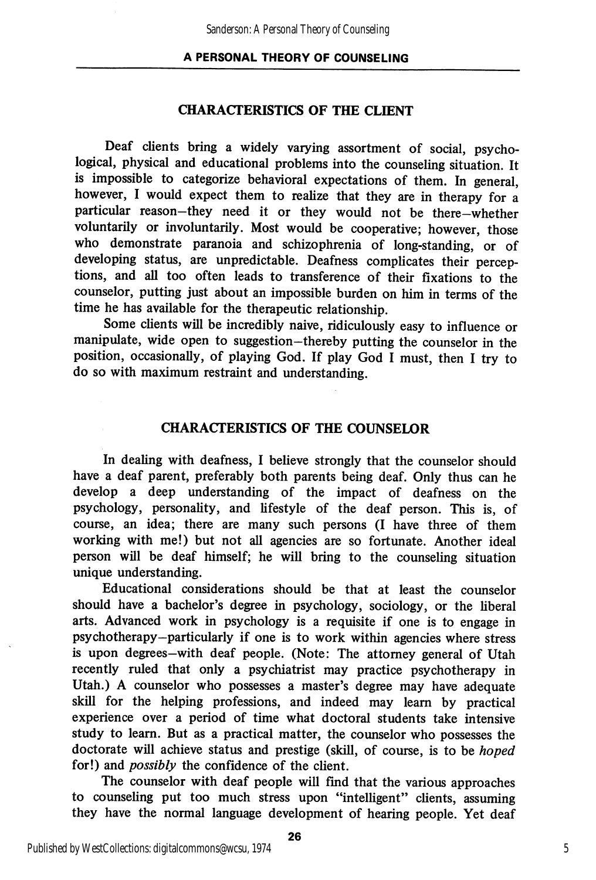#### CHARACTERISTICS OF THE CLIENT

Deaf clients bring a widely varying assortment of social, psycho logical, physical and educational problems into the counseling situation. It is impossible to categorize behavioral expectations of them. In general, however, I would expect them to realize that they are in therapy for a particular reason-they need it or they would not be there-whether voluntarily or involuntarily. Most would be cooperative; however, those who demonstrate paranoia and schizophrenia of long-standing, or of developing status, are unpredictable. Deafness complicates their percep tions, and all too often leads to transference of their fixations to the counselor, putting just about an impossible burden on him in terms of the time he has available for the therapeutic relationship.

Some clients will be incredibly naive, ridiculously easy to influence or manipulate, wide open to suggestion-thereby putting the counselor in the position, occasionally, of playing God. If play God I must, then I try to do so with maximum restraint and understanding.

#### CHARACTERISTICS OF THE COUNSELOR

In dealing with deafness, I believe strongly that the counselor should have a deaf parent, preferably both parents being deaf. Only thus can he develop a deep imderstanding of the impact of deafness on the psychology, personality, and lifestyle of the deaf person. This is, of course, an idea; there are many such persons (I have three of them working with me!) but not all agencies are so fortunate. Another ideal person will be deaf himself; he will bring to the counseling situation unique understanding.

Educational considerations should be that at least the counselor should have a bachelor's degree in psychology, sociology, or the liberal arts. Advanced work in psychology is a requisite if one is to engage in psychotherapy—particularly if one is to work within agencies where stress is upon degrees—with deaf people. (Note: The attorney general of Utah recently ruled that only a psychiatrist may practice psychotherapy in Utah.) A counselor who possesses a master's degree may have adequate skill for the helping professions, and indeed may learn by practical experience over a period of time what doctoral students take intensive study to leam. But as a practical matter, the counselor who possesses the doctorate will achieve status and prestige (skill, of course, is to be hoped for!) and possibly the confidence of the client.

The counselor with deaf people will find that the various approaches to counseling put too much stress upon "intelligent" clients, assuming they have the normal language development of hearing people. Yet deaf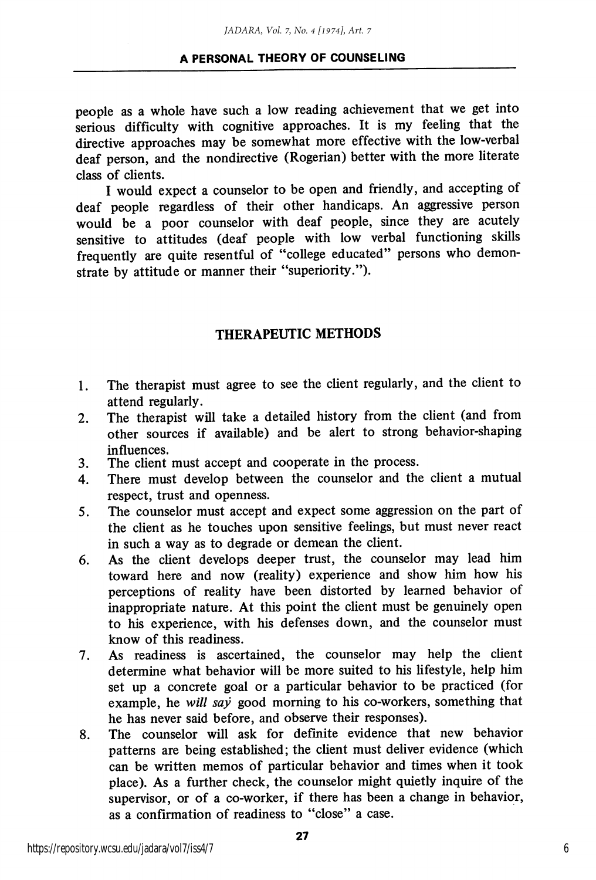people as a whole have such a low reading achievement that we get into serious difficulty with cognitive approaches. It is my feeling that the directive approaches may be somewhat more effective with the low-verbal deaf person, and the nondirective (Rogerian) better with the more literate class of clients.

I would expect a counselor to be open and friendly, and accepting of deaf people regardless of their other handicaps. An aggressive person would be a poor counselor with deaf people, since they are acutely sensitive to attitudes (deaf people with low verbal functioning skills frequently are quite resentful of "college educated" persons who demon strate by attitude or manner their "superiority.").

### THERAPEUTIC METHODS

- 1. The therapist must agree to see the client regularly, and the client to attend regularly.
- 2. The therapist will take a detailed history from the client (and from other sources if available) and be alert to strong behavior-shaping influences.
- 3. The client must accept and cooperate in the process.
- 4. There must develop between the counselor and the client a mutual respect, trust and openness.
- 5. The counselor must accept and expect some aggression on the part of the client as he touches upon sensitive feelings, but must never react in such a way as to degrade or demean the client.
- 6. As the client develops deeper trust, the counselor may lead him toward here and now (reality) experience and show him how his perceptions of reality have been distorted by learned behavior of inappropriate nature. At this point the client must be genuinely open to his experience, with his defenses down, and the counselor must know of this readiness.
- 7. As readiness is ascertained, the counselor may help the client determine what behavior will be more suited to his lifestyle, help him set up a concrete goal or a particular behavior to be practiced (for example, he will say good morning to his co-workers, something that he has never said before, and observe their responses).
- 8. The counselor will ask for definite evidence that new behavior patterns are being established; the client must deliver evidence (which can be written memos of particular behavior and times when it took place). As a further check, the counselor might quietly inquire of the supervisor, or of a co-worker, if there has been a change in behavior, as a confirmation of readiness to "close" a case.